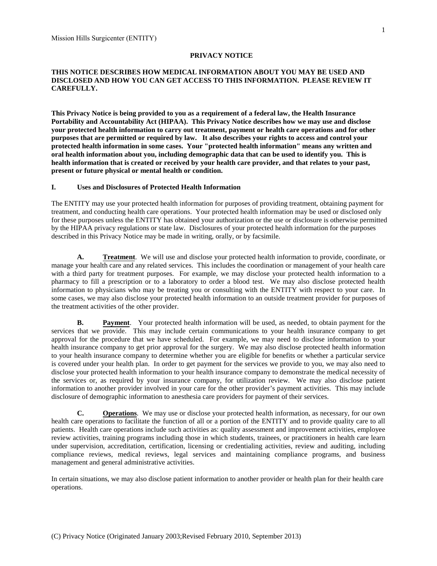#### **PRIVACY NOTICE**

### **THIS NOTICE DESCRIBES HOW MEDICAL INFORMATION ABOUT YOU MAY BE USED AND DISCLOSED AND HOW YOU CAN GET ACCESS TO THIS INFORMATION. PLEASE REVIEW IT CAREFULLY.**

**This Privacy Notice is being provided to you as a requirement of a federal law, the Health Insurance Portability and Accountability Act (HIPAA). This Privacy Notice describes how we may use and disclose your protected health information to carry out treatment, payment or health care operations and for other purposes that are permitted or required by law. It also describes your rights to access and control your protected health information in some cases. Your "protected health information" means any written and oral health information about you, including demographic data that can be used to identify you. This is health information that is created or received by your health care provider, and that relates to your past, present or future physical or mental health or condition.**

#### **I. Uses and Disclosures of Protected Health Information**

The ENTITY may use your protected health information for purposes of providing treatment, obtaining payment for treatment, and conducting health care operations. Your protected health information may be used or disclosed only for these purposes unless the ENTITY has obtained your authorization or the use or disclosure is otherwise permitted by the HIPAA privacy regulations or state law. Disclosures of your protected health information for the purposes described in this Privacy Notice may be made in writing, orally, or by facsimile.

**A. Treatment**. We will use and disclose your protected health information to provide, coordinate, or manage your health care and any related services. This includes the coordination or management of your health care with a third party for treatment purposes. For example, we may disclose your protected health information to a pharmacy to fill a prescription or to a laboratory to order a blood test. We may also disclose protected health information to physicians who may be treating you or consulting with the ENTITY with respect to your care. In some cases, we may also disclose your protected health information to an outside treatment provider for purposes of the treatment activities of the other provider.

**B. Payment**. Your protected health information will be used, as needed, to obtain payment for the services that we provide. This may include certain communications to your health insurance company to get approval for the procedure that we have scheduled. For example, we may need to disclose information to your health insurance company to get prior approval for the surgery. We may also disclose protected health information to your health insurance company to determine whether you are eligible for benefits or whether a particular service is covered under your health plan. In order to get payment for the services we provide to you, we may also need to disclose your protected health information to your health insurance company to demonstrate the medical necessity of the services or, as required by your insurance company, for utilization review. We may also disclose patient information to another provider involved in your care for the other provider's payment activities. This may include disclosure of demographic information to anesthesia care providers for payment of their services.

**C. Operations**. We may use or disclose your protected health information, as necessary, for our own health care operations to facilitate the function of all or a portion of the ENTITY and to provide quality care to all patients. Health care operations include such activities as: quality assessment and improvement activities, employee review activities, training programs including those in which students, trainees, or practitioners in health care learn under supervision, accreditation, certification, licensing or credentialing activities, review and auditing, including compliance reviews, medical reviews, legal services and maintaining compliance programs, and business management and general administrative activities.

In certain situations, we may also disclose patient information to another provider or health plan for their health care operations.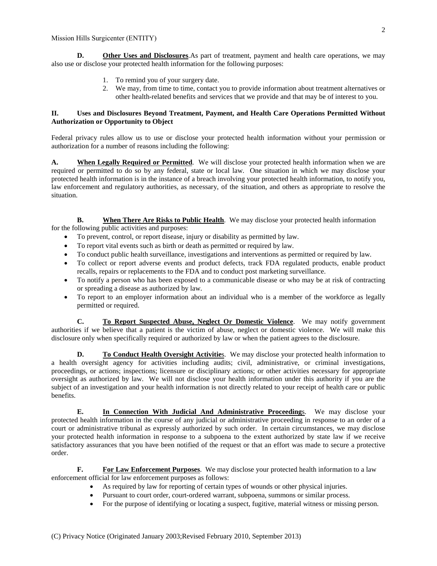**D. Other Uses and Disclosures**. As part of treatment, payment and health care operations, we may also use or disclose your protected health information for the following purposes:

- 1. To remind you of your surgery date.
- 2. We may, from time to time, contact you to provide information about treatment alternatives or other health-related benefits and services that we provide and that may be of interest to you.

### **II. Uses and Disclosures Beyond Treatment, Payment, and Health Care Operations Permitted Without Authorization or Opportunity to Object**

Federal privacy rules allow us to use or disclose your protected health information without your permission or authorization for a number of reasons including the following:

**A. When Legally Required or Permitted**. We will disclose your protected health information when we are required or permitted to do so by any federal, state or local law. One situation in which we may disclose your protected health information is in the instance of a breach involving your protected health information, to notify you, law enforcement and regulatory authorities, as necessary, of the situation, and others as appropriate to resolve the situation.

**B. When There Are Risks to Public Health**. We may disclose your protected health information for the following public activities and purposes:

- To prevent, control, or report disease, injury or disability as permitted by law.
- To report vital events such as birth or death as permitted or required by law.
- To conduct public health surveillance, investigations and interventions as permitted or required by law.
- To collect or report adverse events and product defects, track FDA regulated products, enable product recalls, repairs or replacements to the FDA and to conduct post marketing surveillance.
- To notify a person who has been exposed to a communicable disease or who may be at risk of contracting or spreading a disease as authorized by law.
- To report to an employer information about an individual who is a member of the workforce as legally permitted or required.

**C. To Report Suspected Abuse, Neglect Or Domestic Violence**. We may notify government authorities if we believe that a patient is the victim of abuse, neglect or domestic violence. We will make this disclosure only when specifically required or authorized by law or when the patient agrees to the disclosure.

**D. To Conduct Health Oversight Activitie**s. We may disclose your protected health information to a health oversight agency for activities including audits; civil, administrative, or criminal investigations, proceedings, or actions; inspections; licensure or disciplinary actions; or other activities necessary for appropriate oversight as authorized by law. We will not disclose your health information under this authority if you are the subject of an investigation and your health information is not directly related to your receipt of health care or public benefits.

**E. In Connection With Judicial And Administrative Proceeding**s. We may disclose your protected health information in the course of any judicial or administrative proceeding in response to an order of a court or administrative tribunal as expressly authorized by such order. In certain circumstances, we may disclose your protected health information in response to a subpoena to the extent authorized by state law if we receive satisfactory assurances that you have been notified of the request or that an effort was made to secure a protective order.

**F. For Law Enforcement Purposes**. We may disclose your protected health information to a law enforcement official for law enforcement purposes as follows:

- As required by law for reporting of certain types of wounds or other physical injuries.
- Pursuant to court order, court-ordered warrant, subpoena, summons or similar process.
- For the purpose of identifying or locating a suspect, fugitive, material witness or missing person.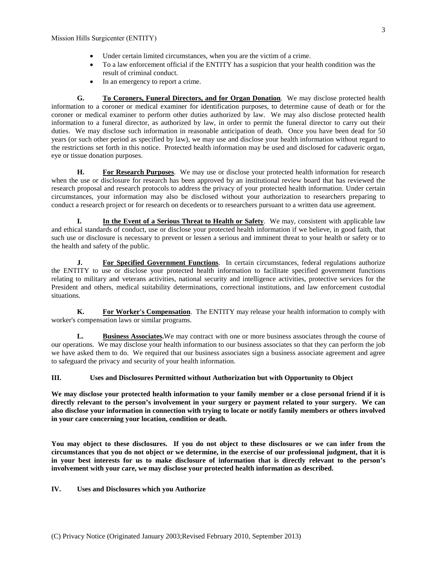- Under certain limited circumstances, when you are the victim of a crime.
- To a law enforcement official if the ENTITY has a suspicion that your health condition was the result of criminal conduct.
- In an emergency to report a crime.

**G. To Coroners, Funeral Directors, and for Organ Donation**. We may disclose protected health information to a coroner or medical examiner for identification purposes, to determine cause of death or for the coroner or medical examiner to perform other duties authorized by law. We may also disclose protected health information to a funeral director, as authorized by law, in order to permit the funeral director to carry out their duties. We may disclose such information in reasonable anticipation of death. Once you have been dead for 50 years (or such other period as specified by law), we may use and disclose your health information without regard to the restrictions set forth in this notice. Protected health information may be used and disclosed for cadaveric organ, eye or tissue donation purposes.

**H. For Research Purposes**. We may use or disclose your protected health information for research when the use or disclosure for research has been approved by an institutional review board that has reviewed the research proposal and research protocols to address the privacy of your protected health information. Under certain circumstances, your information may also be disclosed without your authorization to researchers preparing to conduct a research project or for research on decedents or to researchers pursuant to a written data use agreement.

**I. In the Event of a Serious Threat to Health or Safety**. We may, consistent with applicable law and ethical standards of conduct, use or disclose your protected health information if we believe, in good faith, that such use or disclosure is necessary to prevent or lessen a serious and imminent threat to your health or safety or to the health and safety of the public.

**J. For Specified Government Functions**. In certain circumstances, federal regulations authorize the ENTITY to use or disclose your protected health information to facilitate specified government functions relating to military and veterans activities, national security and intelligence activities, protective services for the President and others, medical suitability determinations, correctional institutions, and law enforcement custodial situations.

**K. For Worker's Compensation**. The ENTITY may release your health information to comply with worker's compensation laws or similar programs.

**L. Business Associates.**We may contract with one or more business associates through the course of our operations. We may disclose your health information to our business associates so that they can perform the job we have asked them to do. We required that our business associates sign a business associate agreement and agree to safeguard the privacy and security of your health information.

### **III. Uses and Disclosures Permitted without Authorization but with Opportunity to Object**

**We may disclose your protected health information to your family member or a close personal friend if it is directly relevant to the person's involvement in your surgery or payment related to your surgery. We can also disclose your information in connection with trying to locate or notify family members or others involved in your care concerning your location, condition or death.** 

**You may object to these disclosures. If you do not object to these disclosures or we can infer from the circumstances that you do not object or we determine, in the exercise of our professional judgment, that it is in your best interests for us to make disclosure of information that is directly relevant to the person's involvement with your care, we may disclose your protected health information as described.** 

**IV. Uses and Disclosures which you Authorize**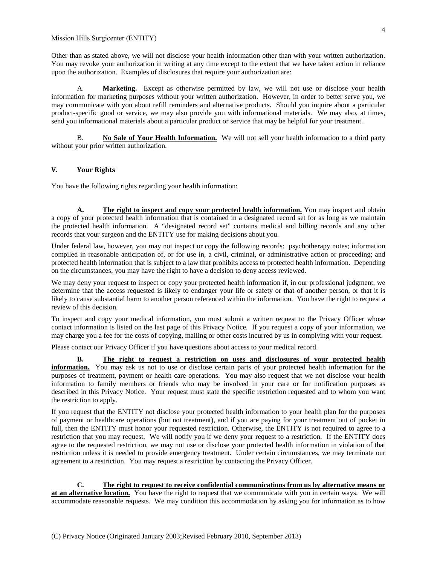Other than as stated above, we will not disclose your health information other than with your written authorization. You may revoke your authorization in writing at any time except to the extent that we have taken action in reliance upon the authorization. Examples of disclosures that require your authorization are:

A. **Marketing.** Except as otherwise permitted by law, we will not use or disclose your health information for marketing purposes without your written authorization. However, in order to better serve you, we may communicate with you about refill reminders and alternative products. Should you inquire about a particular product-specific good or service, we may also provide you with informational materials. We may also, at times, send you informational materials about a particular product or service that may be helpful for your treatment.

B. **No Sale of Your Health Information.** We will not sell your health information to a third party without your prior written authorization.

# **V. Your Rights**

You have the following rights regarding your health information:

**A. The right to inspect and copy your protected health information.** You may inspect and obtain a copy of your protected health information that is contained in a designated record set for as long as we maintain the protected health information. A "designated record set" contains medical and billing records and any other records that your surgeon and the ENTITY use for making decisions about you.

Under federal law, however, you may not inspect or copy the following records: psychotherapy notes; information compiled in reasonable anticipation of, or for use in, a civil, criminal, or administrative action or proceeding; and protected health information that is subject to a law that prohibits access to protected health information. Depending on the circumstances, you may have the right to have a decision to deny access reviewed.

We may deny your request to inspect or copy your protected health information if, in our professional judgment, we determine that the access requested is likely to endanger your life or safety or that of another person, or that it is likely to cause substantial harm to another person referenced within the information. You have the right to request a review of this decision.

To inspect and copy your medical information, you must submit a written request to the Privacy Officer whose contact information is listed on the last page of this Privacy Notice. If you request a copy of your information, we may charge you a fee for the costs of copying, mailing or other costs incurred by us in complying with your request.

Please contact our Privacy Officer if you have questions about access to your medical record.

**B. The right to request a restriction on uses and disclosures of your protected health information.** You may ask us not to use or disclose certain parts of your protected health information for the purposes of treatment, payment or health care operations. You may also request that we not disclose your health information to family members or friends who may be involved in your care or for notification purposes as described in this Privacy Notice. Your request must state the specific restriction requested and to whom you want the restriction to apply.

If you request that the ENTITY not disclose your protected health information to your health plan for the purposes of payment or healthcare operations (but not treatment), and if you are paying for your treatment out of pocket in full, then the ENTITY must honor your requested restriction. Otherwise, the ENTITY is not required to agree to a restriction that you may request. We will notify you if we deny your request to a restriction. If the ENTITY does agree to the requested restriction, we may not use or disclose your protected health information in violation of that restriction unless it is needed to provide emergency treatment. Under certain circumstances, we may terminate our agreement to a restriction. You may request a restriction by contacting the Privacy Officer.

**C. The right to request to receive confidential communications from us by alternative means or at an alternative location.** You have the right to request that we communicate with you in certain ways. We will accommodate reasonable requests. We may condition this accommodation by asking you for information as to how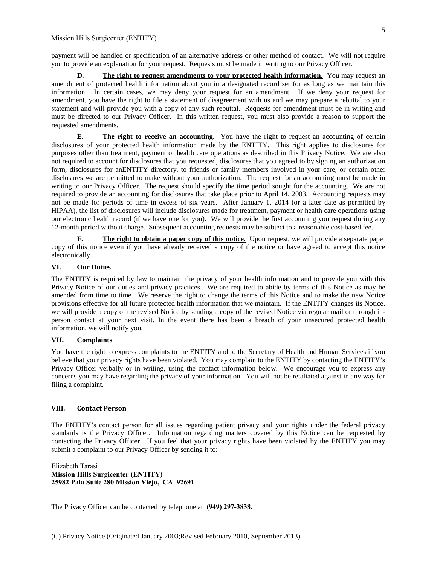payment will be handled or specification of an alternative address or other method of contact. We will not require you to provide an explanation for your request. Requests must be made in writing to our Privacy Officer.

**D. The right to request amendments to your protected health information.** You may request an amendment of protected health information about you in a designated record set for as long as we maintain this information. In certain cases, we may deny your request for an amendment. If we deny your request for amendment, you have the right to file a statement of disagreement with us and we may prepare a rebuttal to your statement and will provide you with a copy of any such rebuttal. Requests for amendment must be in writing and must be directed to our Privacy Officer. In this written request, you must also provide a reason to support the requested amendments.

**E. The right to receive an accounting.** You have the right to request an accounting of certain disclosures of your protected health information made by the ENTITY. This right applies to disclosures for purposes other than treatment, payment or health care operations as described in this Privacy Notice. We are also not required to account for disclosures that you requested, disclosures that you agreed to by signing an authorization form, disclosures for anENTITY directory, to friends or family members involved in your care, or certain other disclosures we are permitted to make without your authorization. The request for an accounting must be made in writing to our Privacy Officer. The request should specify the time period sought for the accounting. We are not required to provide an accounting for disclosures that take place prior to April 14, 2003. Accounting requests may not be made for periods of time in excess of six years. After January 1, 2014 (or a later date as permitted by HIPAA), the list of disclosures will include disclosures made for treatment, payment or health care operations using our electronic health record (if we have one for you). We will provide the first accounting you request during any 12-month period without charge. Subsequent accounting requests may be subject to a reasonable cost-based fee.

**F. The right to obtain a paper copy of this notice.** Upon request, we will provide a separate paper copy of this notice even if you have already received a copy of the notice or have agreed to accept this notice electronically.

# **VI. Our Duties**

The ENTITY is required by law to maintain the privacy of your health information and to provide you with this Privacy Notice of our duties and privacy practices. We are required to abide by terms of this Notice as may be amended from time to time. We reserve the right to change the terms of this Notice and to make the new Notice provisions effective for all future protected health information that we maintain. If the ENTITY changes its Notice, we will provide a copy of the revised Notice by sending a copy of the revised Notice via regular mail or through inperson contact at your next visit. In the event there has been a breach of your unsecured protected health information, we will notify you.

### **VII. Complaints**

You have the right to express complaints to the ENTITY and to the Secretary of Health and Human Services if you believe that your privacy rights have been violated. You may complain to the ENTITY by contacting the ENTITY's Privacy Officer verbally or in writing, using the contact information below. We encourage you to express any concerns you may have regarding the privacy of your information. You will not be retaliated against in any way for filing a complaint.

# **VIII. Contact Person**

The ENTITY's contact person for all issues regarding patient privacy and your rights under the federal privacy standards is the Privacy Officer. Information regarding matters covered by this Notice can be requested by contacting the Privacy Officer. If you feel that your privacy rights have been violated by the ENTITY you may submit a complaint to our Privacy Officer by sending it to:

Elizabeth Tarasi **Mission Hills Surgicenter (ENTITY) 25982 Pala Suite 280 Mission Viejo, CA 92691** 

The Privacy Officer can be contacted by telephone at **(949) 297-3838.**